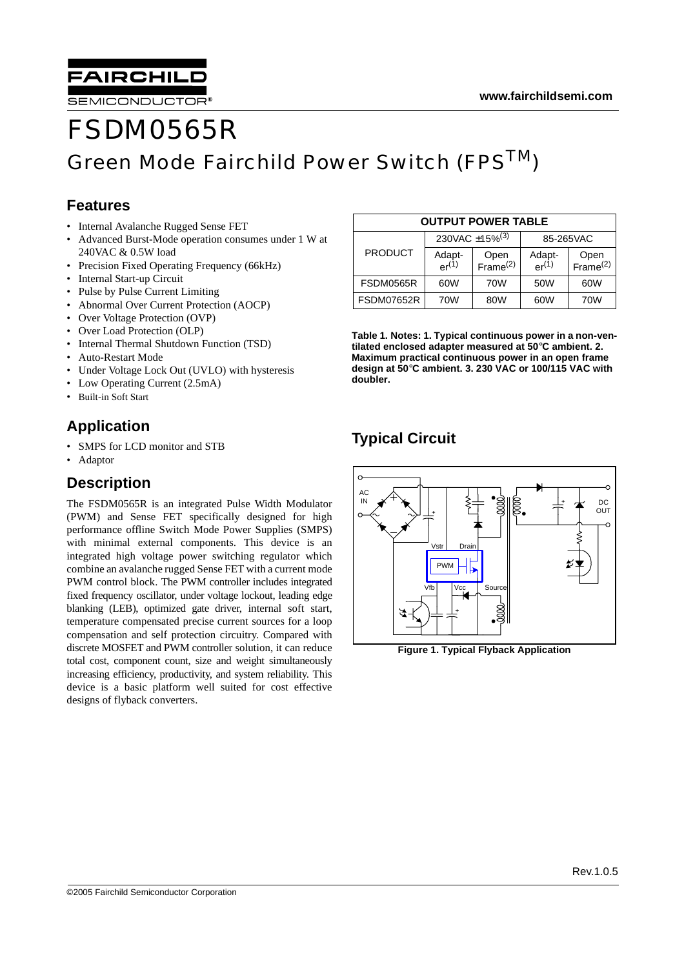

SEMICONDUCTOR®

# FSDM0565R Green Mode Fairchild Power Switch (FPS<sup>TM</sup>)

### **Features**

- Internal Avalanche Rugged Sense FET
- Advanced Burst-Mode operation consumes under 1 W at 240VAC & 0.5W load
- Precision Fixed Operating Frequency (66kHz)
- Internal Start-up Circuit
- Pulse by Pulse Current Limiting
- Abnormal Over Current Protection (AOCP)
- Over Voltage Protection (OVP)
- Over Load Protection (OLP)
- Internal Thermal Shutdown Function (TSD)
- Auto-Restart Mode
- Under Voltage Lock Out (UVLO) with hysteresis
- Low Operating Current (2.5mA)
- Built-in Soft Start

### **Application**

- SMPS for LCD monitor and STB
- Adaptor

### **Description**

The FSDM0565R is an integrated Pulse Width Modulator (PWM) and Sense FET specifically designed for high performance offline Switch Mode Power Supplies (SMPS) with minimal external components. This device is an integrated high voltage power switching regulator which combine an avalanche rugged Sense FET with a current mode PWM control block. The PWM controller includes integrated fixed frequency oscillator, under voltage lockout, leading edge blanking (LEB), optimized gate driver, internal soft start, temperature compensated precise current sources for a loop compensation and self protection circuitry. Compared with discrete MOSFET and PWM controller solution, it can reduce total cost, component count, size and weight simultaneously increasing efficiency, productivity, and system reliability. This device is a basic platform well suited for cost effective designs of flyback converters.

| <b>OUTPUT POWER TABLE</b> |                            |                              |                      |                              |  |
|---------------------------|----------------------------|------------------------------|----------------------|------------------------------|--|
|                           | 230VAC ±15% <sup>(3)</sup> |                              |                      | 85-265VAC                    |  |
| <b>PRODUCT</b>            | Adapt-<br>$er^{(1)}$       | Open<br>Frame <sup>(2)</sup> | Adapt-<br>$er^{(1)}$ | Open<br>Frame <sup>(2)</sup> |  |
| FSDM0565R                 | 60W                        | 70W                          | 50W                  | 60W                          |  |
| <b>FSDM07652R</b>         | 70W                        | 80W                          | 60W                  | 70W                          |  |

**Table 1. Notes: 1. Typical continuous power in a non-ventilated enclosed adapter measured at 50**°**C ambient. 2. Maximum practical continuous power in an open frame design at 50**°**C ambient. 3. 230 VAC or 100/115 VAC with doubler.**

## **Typical Circuit**



**Figure 1. Typical Flyback Application**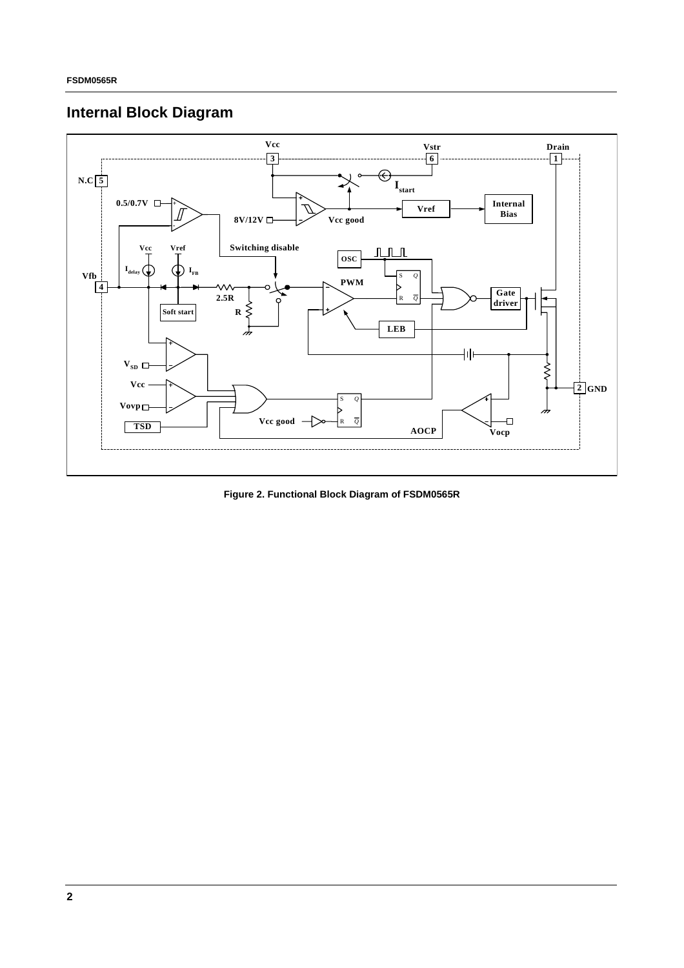# **Internal Block Diagram**



**Figure 2. Functional Block Diagram of FSDM0565R**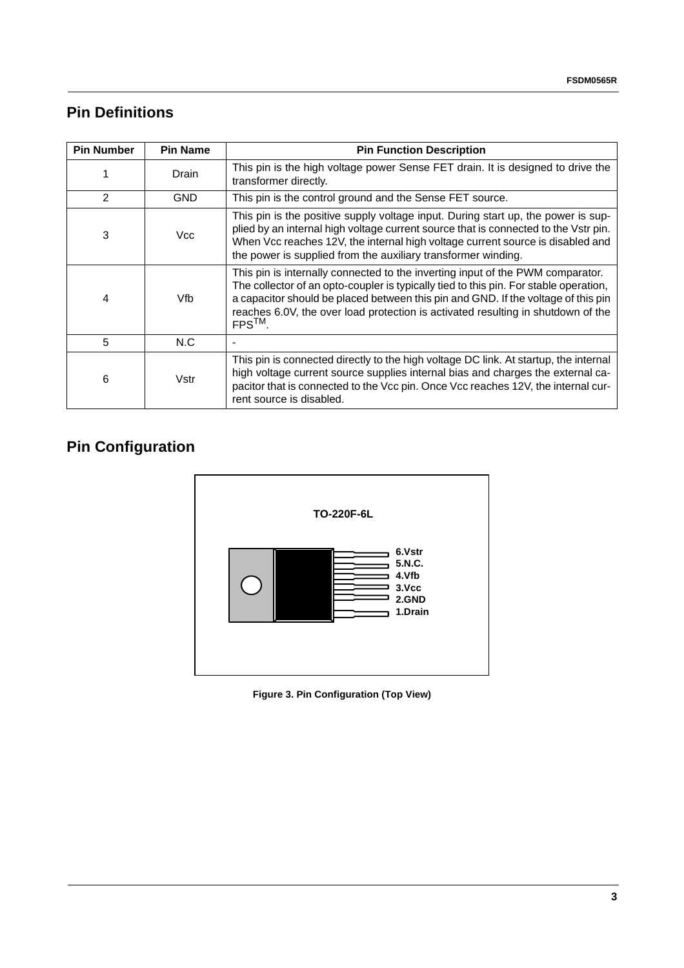## **Pin Definitions**

| <b>Pin Number</b> | <b>Pin Name</b> | <b>Pin Function Description</b>                                                                                                                                                                                                                                                                                                                                  |
|-------------------|-----------------|------------------------------------------------------------------------------------------------------------------------------------------------------------------------------------------------------------------------------------------------------------------------------------------------------------------------------------------------------------------|
|                   | Drain           | This pin is the high voltage power Sense FET drain. It is designed to drive the<br>transformer directly.                                                                                                                                                                                                                                                         |
| $\mathcal{P}$     | <b>GND</b>      | This pin is the control ground and the Sense FET source.                                                                                                                                                                                                                                                                                                         |
| 3                 | Vcc             | This pin is the positive supply voltage input. During start up, the power is sup-<br>plied by an internal high voltage current source that is connected to the Vstr pin.<br>When Vcc reaches 12V, the internal high voltage current source is disabled and<br>the power is supplied from the auxiliary transformer winding.                                      |
| 4                 | Vfb             | This pin is internally connected to the inverting input of the PWM comparator.<br>The collector of an opto-coupler is typically tied to this pin. For stable operation,<br>a capacitor should be placed between this pin and GND. If the voltage of this pin<br>reaches 6.0V, the over load protection is activated resulting in shutdown of the<br>$FPS^{TM}$ . |
| 5                 | N.C             |                                                                                                                                                                                                                                                                                                                                                                  |
| 6                 | Vstr            | This pin is connected directly to the high voltage DC link. At startup, the internal<br>high voltage current source supplies internal bias and charges the external ca-<br>pacitor that is connected to the Vcc pin. Once Vcc reaches 12V, the internal cur-<br>rent source is disabled.                                                                         |

# **Pin Configuration**



**Figure 3. Pin Configuration (Top View)**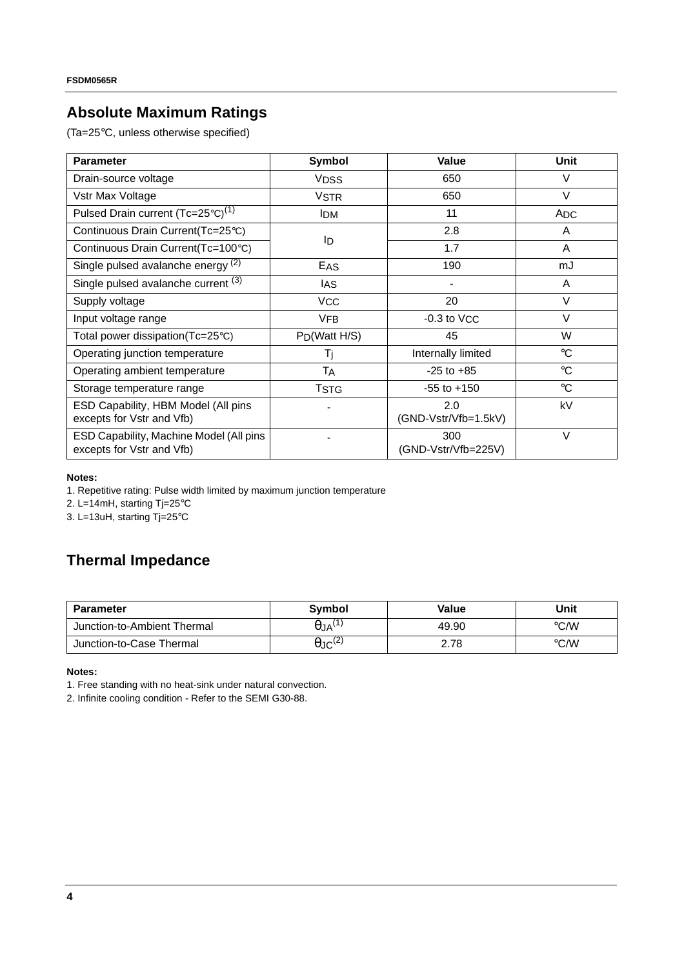## **Absolute Maximum Ratings**

(Ta=25°C, unless otherwise specified)

| <b>Parameter</b>                                                     | Symbol                    | Value                       | <b>Unit</b>     |
|----------------------------------------------------------------------|---------------------------|-----------------------------|-----------------|
| Drain-source voltage                                                 | <b>VDSS</b>               | 650                         | V               |
| Vstr Max Voltage                                                     | <b>VSTR</b>               | 650                         | $\vee$          |
| Pulsed Drain current (Tc=25°C) <sup>(1)</sup>                        | <b>IDM</b>                | 11                          | <b>ADC</b>      |
| Continuous Drain Current(Tc=25°C)                                    |                           | 2.8                         | A               |
| Continuous Drain Current(Tc=100°C)                                   | ID                        | 1.7                         | A               |
| Single pulsed avalanche energy <sup>(2)</sup>                        | EAS                       | 190                         | mJ              |
| Single pulsed avalanche current (3)                                  | IAS                       |                             | A               |
| Supply voltage                                                       | <b>VCC</b>                | 20                          | $\vee$          |
| Input voltage range                                                  | <b>VFB</b>                | $-0.3$ to $VCC$             | $\vee$          |
| Total power dissipation $(Tc=25^{\circ}C)$                           | P <sub>D</sub> (Watt H/S) | 45                          | W               |
| Operating junction temperature                                       | Τj                        | Internally limited          | $^{\circ}C$     |
| Operating ambient temperature                                        | TA                        | $-25$ to $+85$              | $\rm ^{\circ}C$ |
| Storage temperature range                                            | <b>TSTG</b>               | $-55$ to $+150$             | $\rm ^{\circ}C$ |
| ESD Capability, HBM Model (All pins<br>excepts for Vstr and Vfb)     |                           | 2.0<br>(GND-Vstr/Vfb=1.5kV) | kV              |
| ESD Capability, Machine Model (All pins<br>excepts for Vstr and Vfb) |                           | 300<br>(GND-Vstr/Vfb=225V)  | $\vee$          |

#### **Notes:**

1. Repetitive rating: Pulse width limited by maximum junction temperature

2. L=14mH, starting Tj=25°C

3. L=13uH, starting Tj=25°C

### **Thermal Impedance**

| <b>Parameter</b>            | Symbol                     | Value | Unit |
|-----------------------------|----------------------------|-------|------|
| Junction-to-Ambient Thermal | $\theta$ JA $^{(1)}$       | 49.90 | °C/W |
| Junction-to-Case Thermal    | $\theta$ JC <sup>(2)</sup> | 2.78  | °C/W |

**Notes:**

1. Free standing with no heat-sink under natural convection.

2. Infinite cooling condition - Refer to the SEMI G30-88.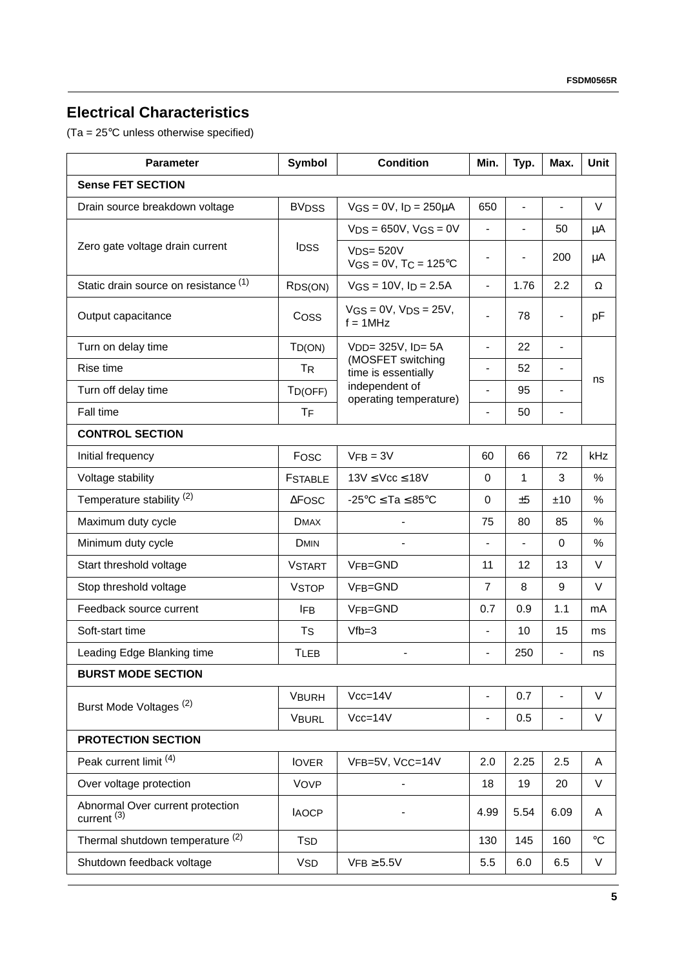## **Electrical Characteristics**

(Ta = 25°C unless otherwise specified)

| <b>Parameter</b>                                           | Symbol               | <b>Condition</b>                                  |                          | Typ.                         | Max.                     | Unit            |
|------------------------------------------------------------|----------------------|---------------------------------------------------|--------------------------|------------------------------|--------------------------|-----------------|
| <b>Sense FET SECTION</b>                                   |                      |                                                   |                          |                              |                          |                 |
| Drain source breakdown voltage                             | <b>BVDSS</b>         | $VGS = 0V$ , $ID = 250\mu A$                      | 650                      | $\blacksquare$               |                          | V               |
|                                                            |                      | $VDS = 650V$ , $VGS = 0V$                         | $\frac{1}{2}$            | $\overline{\phantom{0}}$     | 50                       | μA              |
| Zero gate voltage drain current                            | <b>IDSS</b>          | $VDS = 520V$<br>$VGS = 0V$ , T $C = 125^{\circ}C$ | -                        | $\qquad \qquad \blacksquare$ | 200                      | μA              |
| Static drain source on resistance (1)                      | RDS(ON)              | $VGS = 10V$ , $ID = 2.5A$                         | $\frac{1}{2}$            | 1.76                         | 2.2                      | Ω               |
| Output capacitance                                         | Coss                 | $VGS = 0V$ , $VDS = 25V$ ,<br>$f = 1$ MHz         |                          | 78                           | $\overline{\phantom{0}}$ | pF              |
| Turn on delay time                                         | $T_{D(ON)}$          | V <sub>DD</sub> = 325V, I <sub>D</sub> = 5A       | $\frac{1}{2}$            | 22                           | $\blacksquare$           |                 |
| Rise time                                                  | <b>TR</b>            | (MOSFET switching<br>time is essentially          | $\overline{\phantom{0}}$ | 52                           | $\overline{a}$           |                 |
| Turn off delay time                                        | TD(OFF)              | independent of<br>operating temperature)          | $\overline{a}$           | 95                           | $\overline{\phantom{0}}$ | ns              |
| Fall time                                                  | <b>T<sub>F</sub></b> |                                                   | $\overline{a}$           | 50                           | $\overline{\phantom{0}}$ |                 |
| <b>CONTROL SECTION</b>                                     |                      |                                                   |                          |                              |                          |                 |
| Initial frequency                                          | Fosc                 | $VFB = 3V$                                        | 60                       | 66                           | 72                       | kHz             |
| Voltage stability                                          | <b>FSTABLE</b>       | $13V \leq Vcc \leq 18V$                           | 0                        | 1                            | 3                        | %               |
| Temperature stability <sup>(2)</sup>                       | $\Delta$ Fosc        | $-25^{\circ}$ C $\le$ Ta $\le$ 85 $^{\circ}$ C    | 0                        | ±5                           | ±10                      | %               |
| Maximum duty cycle                                         | <b>DMAX</b>          |                                                   | 75                       | 80                           | 85                       | %               |
| Minimum duty cycle                                         | <b>DMIN</b>          |                                                   |                          |                              | $\Omega$                 | %               |
| Start threshold voltage                                    | <b>VSTART</b>        | VFB=GND                                           | 11                       | 12                           | 13                       | V               |
| Stop threshold voltage                                     | <b>VSTOP</b>         | VFB=GND                                           | $\overline{7}$           | 8                            | 9                        | V               |
| Feedback source current                                    | <b>IFB</b>           | VFB=GND                                           | 0.7                      | 0.9                          | 1.1                      | mA              |
| Soft-start time                                            | <b>T<sub>S</sub></b> | $Vfb = 3$                                         | $\overline{\phantom{a}}$ | 10                           | 15                       | ms              |
| Leading Edge Blanking time                                 | <b>TLEB</b>          |                                                   |                          | 250                          | $\overline{\phantom{0}}$ | ns              |
| <b>BURST MODE SECTION</b>                                  |                      |                                                   |                          |                              |                          |                 |
| Burst Mode Voltages <sup>(2)</sup>                         | <b>VBURH</b>         | $Vcc=14V$                                         | $\overline{\phantom{0}}$ | 0.7                          | $\overline{a}$           | V               |
|                                                            | <b>VBURL</b>         | $Vcc = 14V$                                       | $\overline{a}$           | 0.5                          | -                        | V               |
| <b>PROTECTION SECTION</b>                                  |                      |                                                   |                          |                              |                          |                 |
| Peak current limit (4)                                     | <b>IOVER</b>         | VFB=5V, VCC=14V                                   | 2.0                      | 2.25                         | 2.5                      | A               |
| Over voltage protection                                    | VOVP                 |                                                   | 18                       | 19                           | 20                       | V               |
| Abnormal Over current protection<br>current <sup>(3)</sup> | <b>IAOCP</b>         |                                                   | 4.99                     | 5.54                         | 6.09                     | A               |
| Thermal shutdown temperature (2)                           | <b>TSD</b>           |                                                   | 130                      | 145                          | 160                      | $\rm ^{\circ}C$ |
| Shutdown feedback voltage                                  | <b>VSD</b>           | $VFB \geq 5.5V$                                   | 5.5                      | 6.0                          | 6.5                      | V               |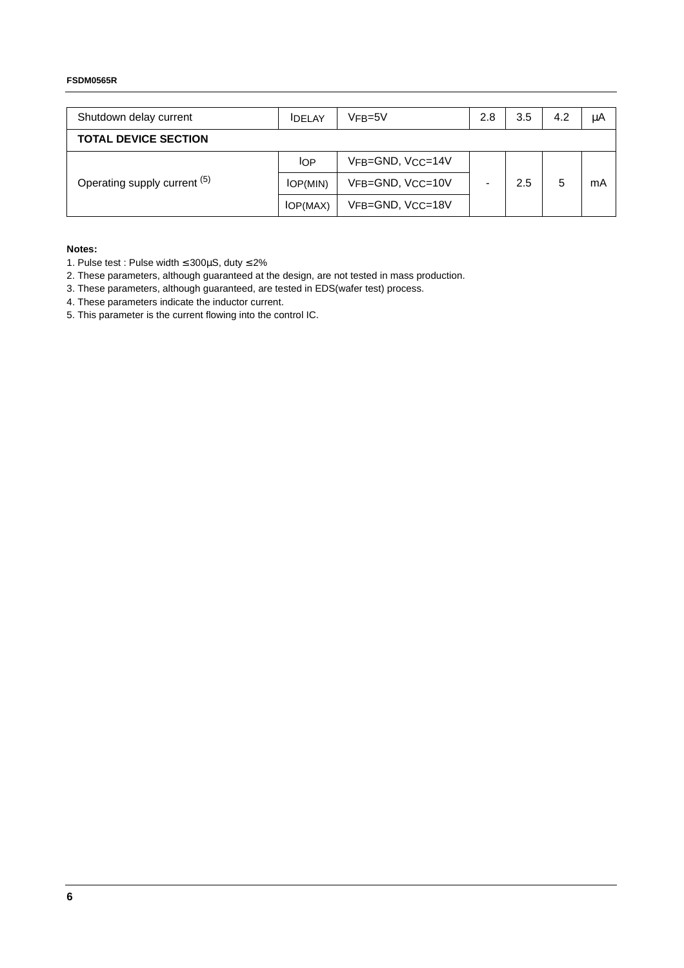#### **FSDM0565R**

| Shutdown delay current       | <b>IDELAY</b> | $VFB=5V$         |  | 3.5 | 4.2 | μA |
|------------------------------|---------------|------------------|--|-----|-----|----|
| <b>TOTAL DEVICE SECTION</b>  |               |                  |  |     |     |    |
|                              | <b>IOP</b>    | VFB=GND, VCC=14V |  |     |     |    |
| Operating supply current (5) | IOP(MIN)      | VFB=GND, VCC=10V |  | 2.5 | 5   | mA |
|                              | IOP(MAX)      | VFB=GND, VCC=18V |  |     |     |    |

#### **Notes:**

- 1. Pulse test : Pulse width ≤ 300µS, duty ≤ 2%
- 2. These parameters, although guaranteed at the design, are not tested in mass production.
- 3. These parameters, although guaranteed, are tested in EDS(wafer test) process.
- 4. These parameters indicate the inductor current.
- 5. This parameter is the current flowing into the control IC.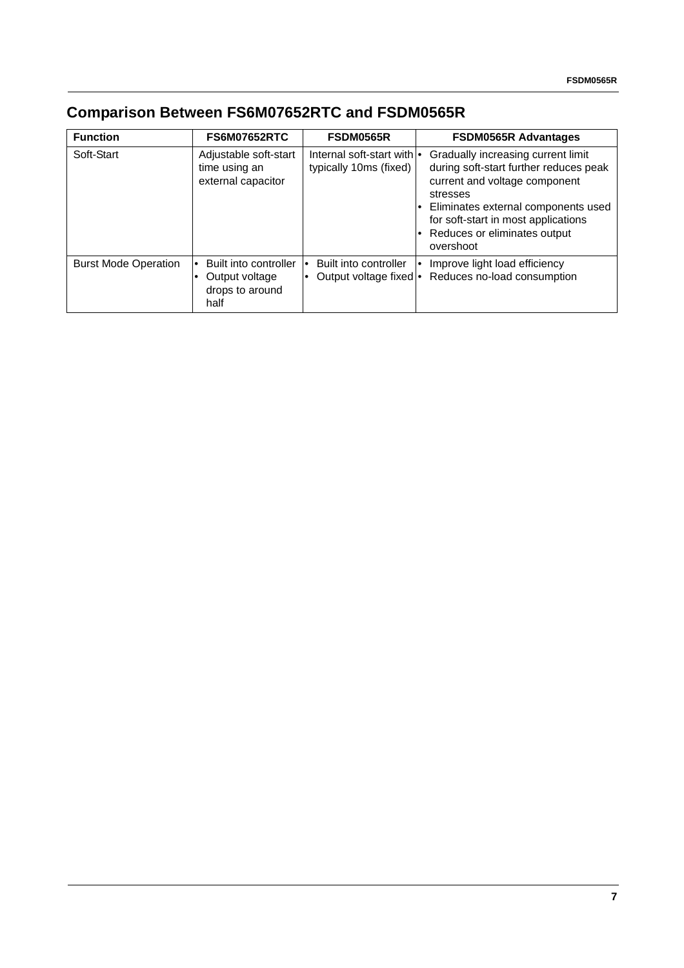# **Comparison Between FS6M07652RTC and FSDM0565R**

| <b>Function</b>             | <b>FS6M07652RTC</b>                                                | <b>FSDM0565R</b>                                             | <b>FSDM0565R Advantages</b>                                                                                                                                                                                                                            |
|-----------------------------|--------------------------------------------------------------------|--------------------------------------------------------------|--------------------------------------------------------------------------------------------------------------------------------------------------------------------------------------------------------------------------------------------------------|
| Soft-Start                  | Adjustable soft-start<br>time using an<br>external capacitor       | Internal soft-start with $\bullet$<br>typically 10ms (fixed) | Gradually increasing current limit<br>during soft-start further reduces peak<br>current and voltage component<br>stresses<br>Eliminates external components used<br>for soft-start in most applications<br>• Reduces or eliminates output<br>overshoot |
| <b>Burst Mode Operation</b> | Built into controller<br>Output voltage<br>drops to around<br>half | Built into controller<br>Output voltage fixed •              | Improve light load efficiency<br>Reduces no-load consumption                                                                                                                                                                                           |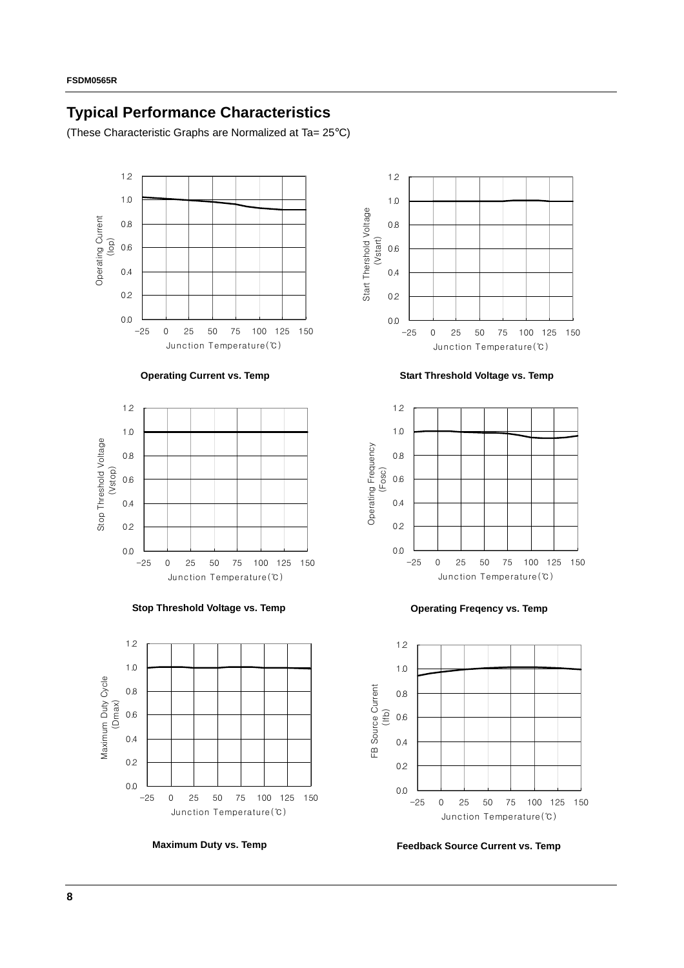## **Typical Performance Characteristics**

(These Characteristic Graphs are Normalized at Ta= 25°C)













**Operating Current vs. Temp Start Threshold Voltage vs. Temp**





**Maximum Duty vs. Temp Feedback Source Current vs. Temp**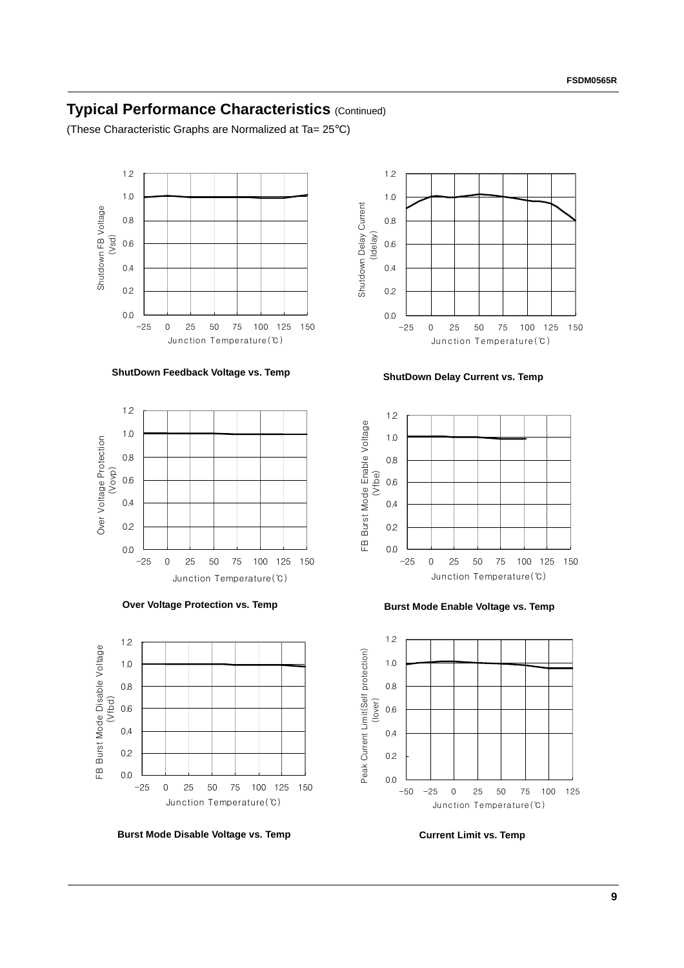### **Typical Performance Characteristics** (Continued)

(These Characteristic Graphs are Normalized at Ta= 25°C)











**Burst Mode Disable Voltage vs. Temp Current Limit vs. Temp** 



-25 0 25 50 75 100 125 150 Junction Temperature(℃)

0.0

0.2 0.4

0.6

Shutdown Delay Current (Idelay)

Shutdown Delay Current

0.8

1.0 1.2



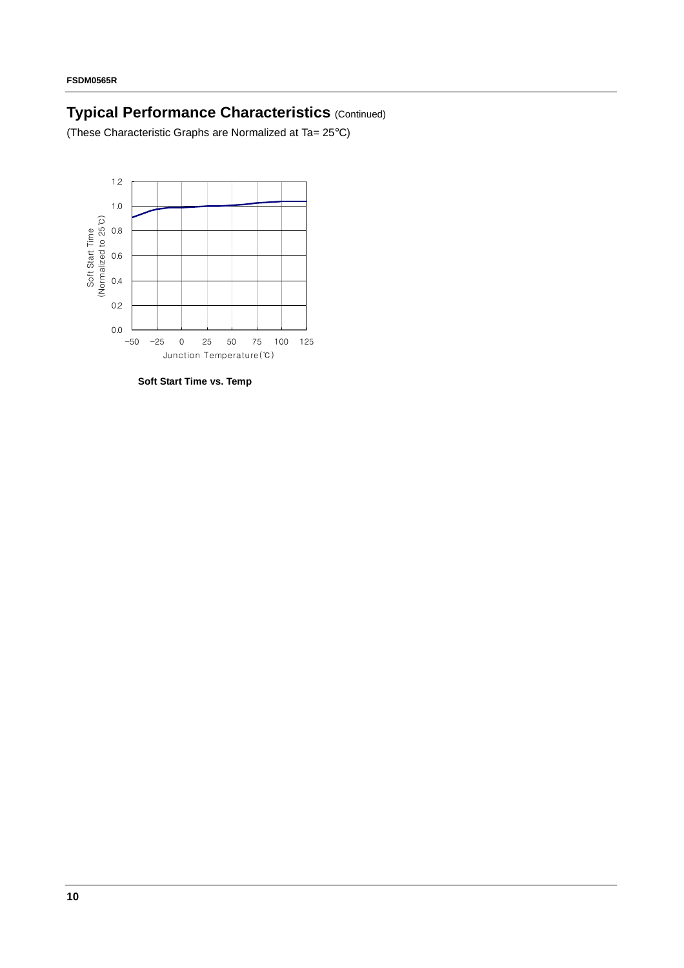# **Typical Performance Characteristics** (Continued)

(These Characteristic Graphs are Normalized at Ta= 25°C)



**Soft Start Time vs. Temp**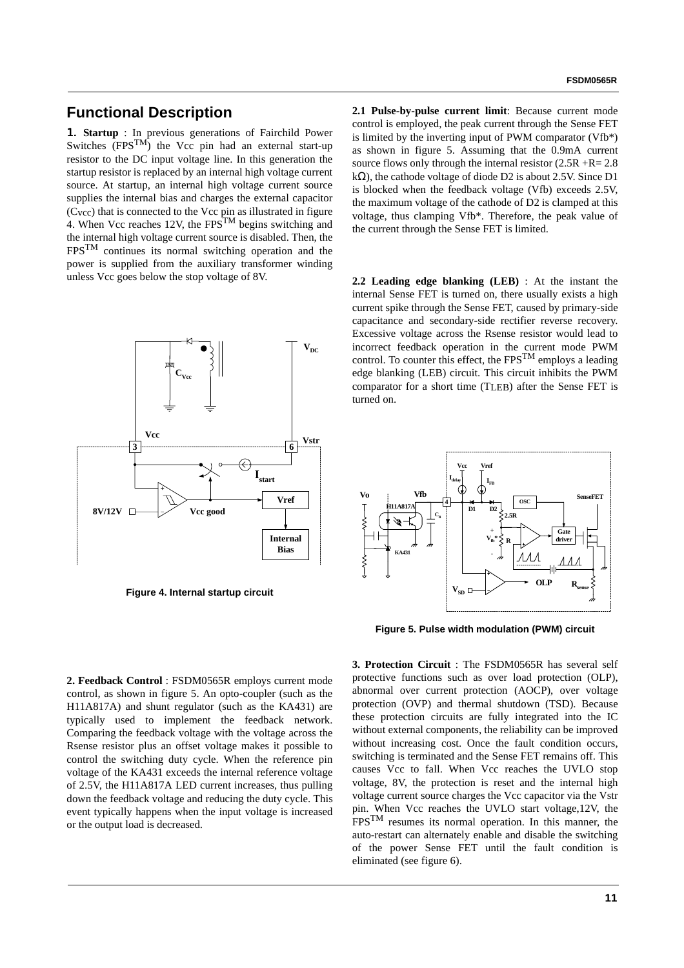### **Functional Description**

1. **Startup** : In previous generations of Fairchild Power Switches  $(FPS^{TM})$  the Vcc pin had an external start-up resistor to the DC input voltage line. In this generation the startup resistor is replaced by an internal high voltage current source. At startup, an internal high voltage current source supplies the internal bias and charges the external capacitor  $(C<sub>vec</sub>)$  that is connected to the Vcc pin as illustrated in figure 4. When Vcc reaches 12V, the FPS<sup>TM</sup> begins switching and the internal high voltage current source is disabled. Then, the FPSTM continues its normal switching operation and the power is supplied from the auxiliary transformer winding unless Vcc goes below the stop voltage of 8V.



**Figure 4. Internal startup circuit**

**2.1 Pulse-by-pulse current limit**: Because current mode control is employed, the peak current through the Sense FET is limited by the inverting input of PWM comparator (Vfb\*) as shown in figure 5. Assuming that the 0.9mA current source flows only through the internal resistor  $(2.5R + R = 2.8$ k $\Omega$ ), the cathode voltage of diode D2 is about 2.5V. Since D1 is blocked when the feedback voltage (Vfb) exceeds 2.5V, the maximum voltage of the cathode of D2 is clamped at this voltage, thus clamping Vfb\*. Therefore, the peak value of the current through the Sense FET is limited.

**2.2 Leading edge blanking (LEB)** : At the instant the internal Sense FET is turned on, there usually exists a high current spike through the Sense FET, caused by primary-side capacitance and secondary-side rectifier reverse recovery. Excessive voltage across the Rsense resistor would lead to incorrect feedback operation in the current mode PWM control. To counter this effect, the  $FPS^{TM}$  employs a leading edge blanking (LEB) circuit. This circuit inhibits the PWM comparator for a short time (TLEB) after the Sense FET is turned on.



**Figure 5. Pulse width modulation (PWM) circuit**

**2. Feedback Control** : FSDM0565R employs current mode control, as shown in figure 5. An opto-coupler (such as the H11A817A) and shunt regulator (such as the KA431) are typically used to implement the feedback network. Comparing the feedback voltage with the voltage across the Rsense resistor plus an offset voltage makes it possible to control the switching duty cycle. When the reference pin voltage of the KA431 exceeds the internal reference voltage of 2.5V, the H11A817A LED current increases, thus pulling down the feedback voltage and reducing the duty cycle. This event typically happens when the input voltage is increased or the output load is decreased.

**3. Protection Circuit** : The FSDM0565R has several self protective functions such as over load protection (OLP), abnormal over current protection (AOCP), over voltage protection (OVP) and thermal shutdown (TSD). Because these protection circuits are fully integrated into the IC without external components, the reliability can be improved without increasing cost. Once the fault condition occurs, switching is terminated and the Sense FET remains off. This causes Vcc to fall. When Vcc reaches the UVLO stop voltage, 8V, the protection is reset and the internal high voltage current source charges the Vcc capacitor via the Vstr pin. When Vcc reaches the UVLO start voltage,12V, the FPSTM resumes its normal operation. In this manner, the auto-restart can alternately enable and disable the switching of the power Sense FET until the fault condition is eliminated (see figure 6).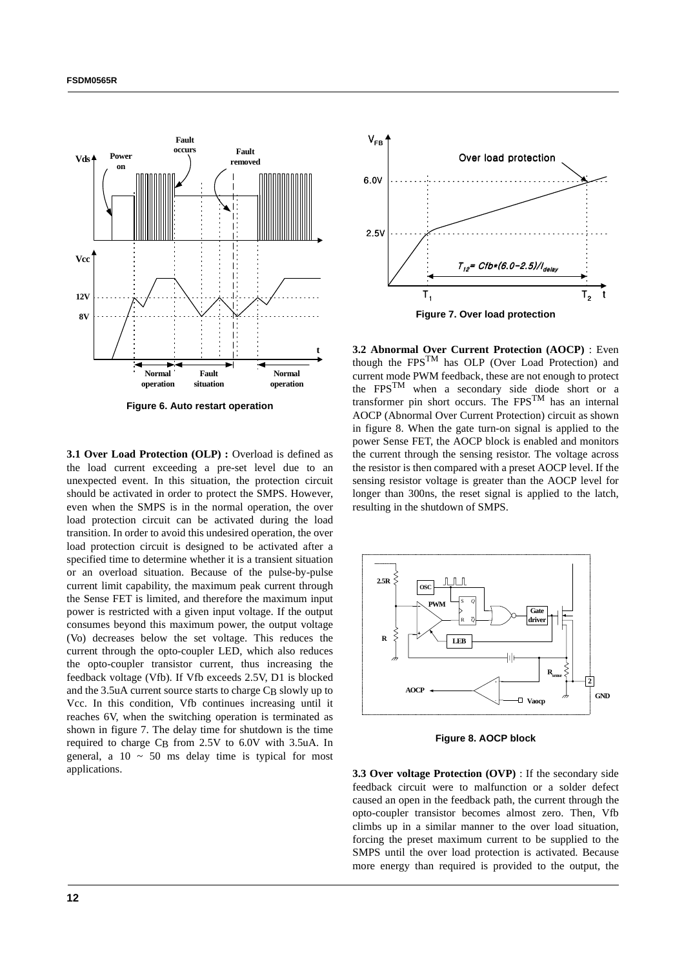

**Figure 6. Auto restart operation**

**3.1 Over Load Protection (OLP) : Overload is defined as** the load current exceeding a pre-set level due to an unexpected event. In this situation, the protection circuit should be activated in order to protect the SMPS. However, even when the SMPS is in the normal operation, the over load protection circuit can be activated during the load transition. In order to avoid this undesired operation, the over load protection circuit is designed to be activated after a specified time to determine whether it is a transient situation or an overload situation. Because of the pulse-by-pulse current limit capability, the maximum peak current through the Sense FET is limited, and therefore the maximum input power is restricted with a given input voltage. If the output consumes beyond this maximum power, the output voltage (Vo) decreases below the set voltage. This reduces the current through the opto-coupler LED, which also reduces the opto-coupler transistor current, thus increasing the feedback voltage (Vfb). If Vfb exceeds 2.5V, D1 is blocked and the 3.5uA current source starts to charge C<sub>B</sub> slowly up to Vcc. In this condition, Vfb continues increasing until it reaches 6V, when the switching operation is terminated as shown in figure 7. The delay time for shutdown is the time required to charge  $C_B$  from 2.5V to 6.0V with 3.5uA. In general, a  $10 \sim 50$  ms delay time is typical for most applications.



**3.2 Abnormal Over Current Protection (AOCP)** : Even though the FPSTM has OLP (Over Load Protection) and current mode PWM feedback, these are not enough to protect the FPSTM when a secondary side diode short or a transformer pin short occurs. The FPSTM has an internal AOCP (Abnormal Over Current Protection) circuit as shown in figure 8. When the gate turn-on signal is applied to the power Sense FET, the AOCP block is enabled and monitors the current through the sensing resistor. The voltage across the resistor is then compared with a preset AOCP level. If the sensing resistor voltage is greater than the AOCP level for longer than 300ns, the reset signal is applied to the latch, resulting in the shutdown of SMPS.



**Figure 8. AOCP block** 

**3.3 Over voltage Protection (OVP)** : If the secondary side feedback circuit were to malfunction or a solder defect caused an open in the feedback path, the current through the opto-coupler transistor becomes almost zero. Then, Vfb climbs up in a similar manner to the over load situation, forcing the preset maximum current to be supplied to the SMPS until the over load protection is activated. Because more energy than required is provided to the output, the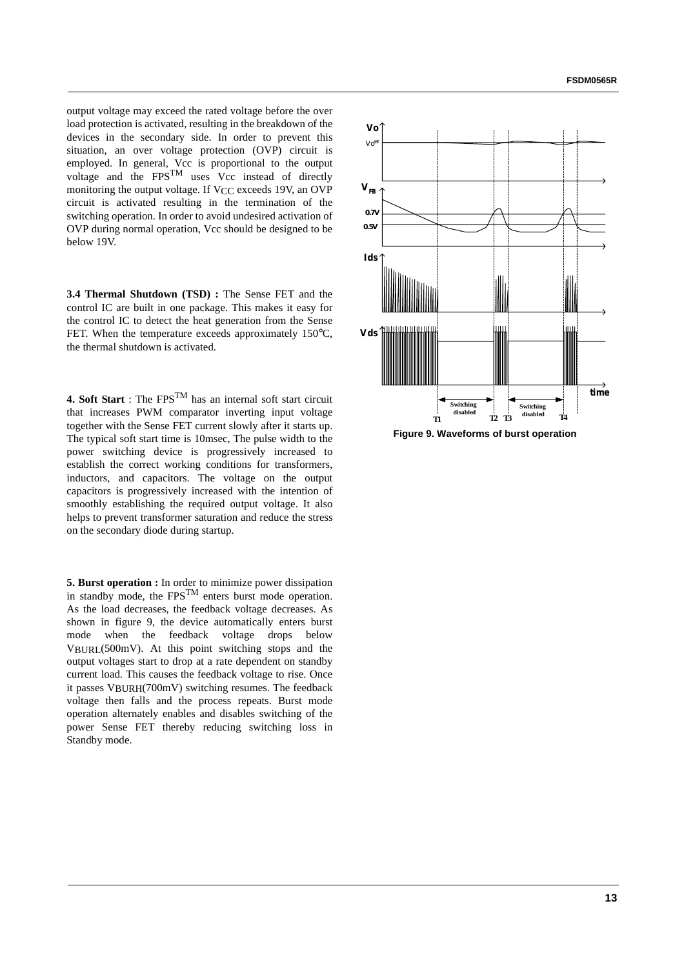output voltage may exceed the rated voltage before the over load protection is activated, resulting in the breakdown of the devices in the secondary side. In order to prevent this situation, an over voltage protection (OVP) circuit is employed. In general, Vcc is proportional to the output voltage and the  $FPS^{TM}$  uses Vcc instead of directly monitoring the output voltage. If V<sub>CC</sub> exceeds 19V, an OVP circuit is activated resulting in the termination of the switching operation. In order to avoid undesired activation of OVP during normal operation, Vcc should be designed to be below 19V.

**3.4 Thermal Shutdown (TSD) :** The Sense FET and the control IC are built in one package. This makes it easy for the control IC to detect the heat generation from the Sense FET. When the temperature exceeds approximately 150°C, the thermal shutdown is activated.

**4. Soft Start** : The FPS<sup>TM</sup> has an internal soft start circuit that increases PWM comparator inverting input voltage together with the Sense FET current slowly after it starts up. The typical soft start time is 10msec, The pulse width to the power switching device is progressively increased to establish the correct working conditions for transformers, inductors, and capacitors. The voltage on the output capacitors is progressively increased with the intention of smoothly establishing the required output voltage. It also helps to prevent transformer saturation and reduce the stress on the secondary diode during startup.

**5. Burst operation :** In order to minimize power dissipation in standby mode, the  $FPS^{TM}$  enters burst mode operation. As the load decreases, the feedback voltage decreases. As shown in figure 9, the device automatically enters burst mode when the feedback voltage drops below VBURL(500mV). At this point switching stops and the output voltages start to drop at a rate dependent on standby current load. This causes the feedback voltage to rise. Once it passes VBURH(700mV) switching resumes. The feedback voltage then falls and the process repeats. Burst mode operation alternately enables and disables switching of the power Sense FET thereby reducing switching loss in Standby mode.



**Figure 9. Waveforms of burst operation**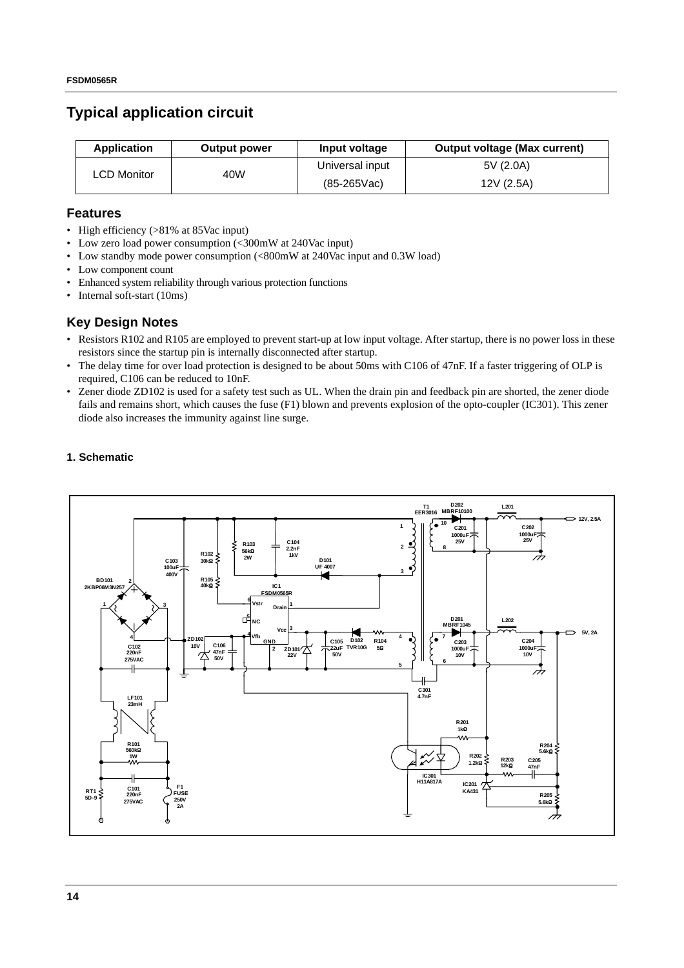### **Typical application circuit**

| <b>Application</b>  | <b>Output power</b> | Input voltage   | <b>Output voltage (Max current)</b> |
|---------------------|---------------------|-----------------|-------------------------------------|
| 40W<br>∟CD Monitor_ |                     | Universal input | 5V (2.0A)                           |
|                     | $(85-265$ Vac)      | 12V (2.5A)      |                                     |

#### **Features**

- High efficiency (>81% at 85Vac input)
- Low zero load power consumption (<300mW at 240Vac input)
- Low standby mode power consumption (<800mW at 240Vac input and 0.3W load)
- Low component count
- Enhanced system reliability through various protection functions
- Internal soft-start (10ms)

#### **Key Design Notes**

- Resistors R102 and R105 are employed to prevent start-up at low input voltage. After startup, there is no power loss in these resistors since the startup pin is internally disconnected after startup.
- The delay time for over load protection is designed to be about 50ms with C106 of 47nF. If a faster triggering of OLP is required, C106 can be reduced to 10nF.
- Zener diode ZD102 is used for a safety test such as UL. When the drain pin and feedback pin are shorted, the zener diode fails and remains short, which causes the fuse (F1) blown and prevents explosion of the opto-coupler (IC301). This zener diode also increases the immunity against line surge.

#### **1. Schematic**

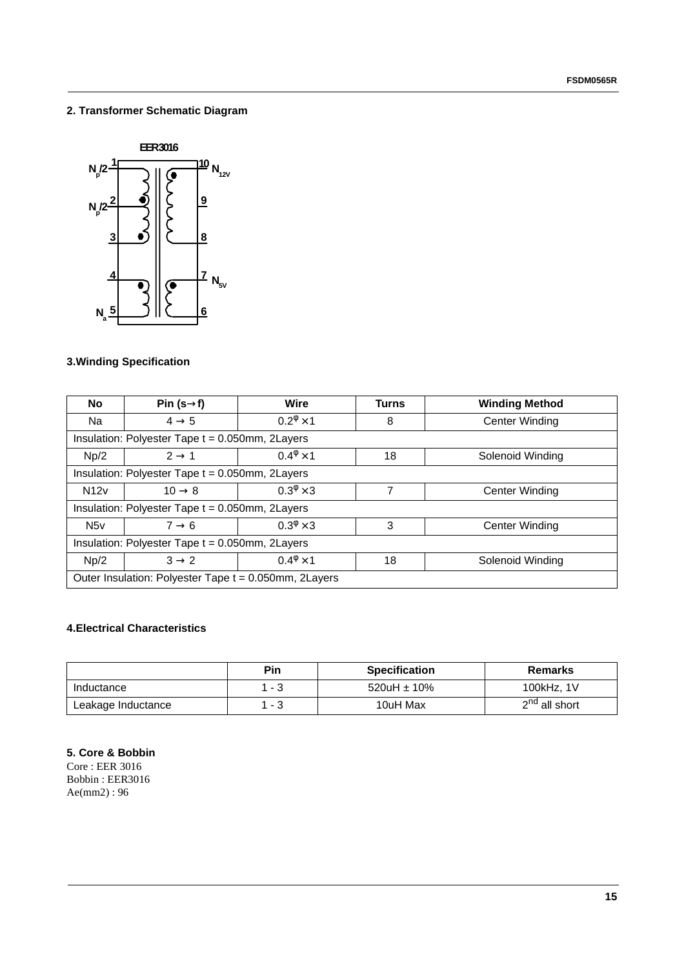#### **2. Transformer Schematic Diagram**



### **3.Winding Specification**

| <b>No</b>                                                                     | Pin $(s\rightarrow f)$                                            | Wire                   | <b>Turns</b> | <b>Winding Method</b> |  |  |  |  |
|-------------------------------------------------------------------------------|-------------------------------------------------------------------|------------------------|--------------|-----------------------|--|--|--|--|
| Na                                                                            | $4 \rightarrow 5$                                                 | $0.2^{\phi} \times 1$  | 8            | <b>Center Winding</b> |  |  |  |  |
|                                                                               | Insulation: Polyester Tape t = 0.050mm, 2Layers                   |                        |              |                       |  |  |  |  |
| $0.4^{\circ} \times 1$<br>$2 \rightarrow 1$<br>18<br>Np/2<br>Solenoid Winding |                                                                   |                        |              |                       |  |  |  |  |
| Insulation: Polyester Tape t = 0.050mm, 2Layers                               |                                                                   |                        |              |                       |  |  |  |  |
| N12v                                                                          | $10 \rightarrow 8$                                                | $0.3^{\phi} \times 3$  | 7            | Center Winding        |  |  |  |  |
| Insulation: Polyester Tape t = 0.050mm, 2Layers                               |                                                                   |                        |              |                       |  |  |  |  |
| N <sub>5v</sub>                                                               | $0.3^{\phi} \times 3$<br>3<br>$7 \rightarrow 6$<br>Center Winding |                        |              |                       |  |  |  |  |
| Insulation: Polyester Tape t = 0.050mm, 2Layers                               |                                                                   |                        |              |                       |  |  |  |  |
| Np/2                                                                          | $3 \rightarrow 2$                                                 | $0.4^{\circ} \times 1$ | 18           | Solenoid Winding      |  |  |  |  |
|                                                                               | Outer Insulation: Polyester Tape t = 0.050mm, 2Layers             |                        |              |                       |  |  |  |  |

#### **4.Electrical Characteristics**

|                    | <b>Pin</b> | <b>Specification</b> | <b>Remarks</b>            |
|--------------------|------------|----------------------|---------------------------|
| Inductance         | - 3        | 520uH $\pm$ 10%      | 100kHz, 1V                |
| Leakage Inductance | - 3        | 10uH Max             | 2 <sup>nd</sup> all short |

#### **5. Core & Bobbin**

Core : EER 3016 Bobbin : EER3016 Ae(mm2) : 96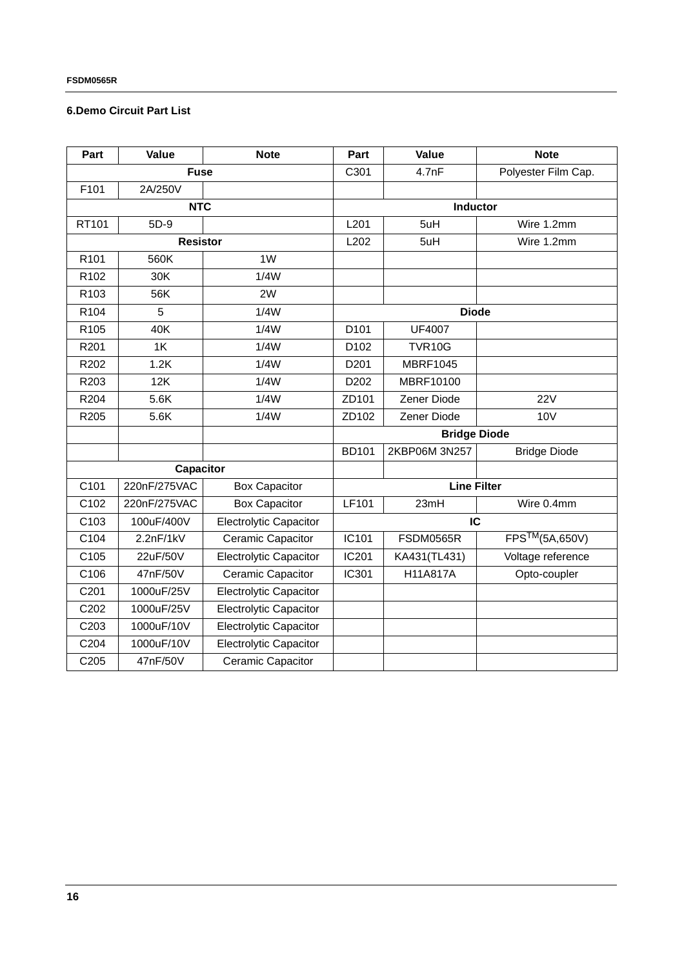#### **6.Demo Circuit Part List**

| Part             | Value           | <b>Note</b>                   | Part             | Value               | <b>Note</b>                |
|------------------|-----------------|-------------------------------|------------------|---------------------|----------------------------|
|                  | <b>Fuse</b>     |                               | C301             | 4.7nF               | Polyester Film Cap.        |
| F101             | 2A/250V         |                               |                  |                     |                            |
|                  | <b>NTC</b>      |                               |                  | Inductor            |                            |
| RT101            | 5D-9            |                               | L201             | 5uH                 | Wire 1.2mm                 |
|                  | <b>Resistor</b> |                               |                  | 5uH                 | Wire 1.2mm                 |
| R <sub>101</sub> | 560K            | 1W                            |                  |                     |                            |
| R102             | 30K             | 1/4W                          |                  |                     |                            |
| R103             | 56K             | 2W                            |                  |                     |                            |
| R104             | 5               | 1/4W                          |                  | <b>Diode</b>        |                            |
| R <sub>105</sub> | 40K             | 1/4W                          | D <sub>101</sub> | <b>UF4007</b>       |                            |
| R201             | 1K              | 1/4W                          | D <sub>102</sub> | <b>TVR10G</b>       |                            |
| R202             | 1.2K            | 1/4W                          | D <sub>201</sub> | <b>MBRF1045</b>     |                            |
| R203             | 12K             | 1/4W                          | D202             | MBRF10100           |                            |
| R204             | 5.6K            | 1/4W                          | ZD101            | Zener Diode         | <b>22V</b>                 |
| R205             | 5.6K            | 1/4W                          | ZD102            | Zener Diode         | <b>10V</b>                 |
|                  |                 |                               |                  | <b>Bridge Diode</b> |                            |
|                  |                 |                               | <b>BD101</b>     | 2KBP06M 3N257       | <b>Bridge Diode</b>        |
|                  | Capacitor       |                               |                  |                     |                            |
| C101             | 220nF/275VAC    | <b>Box Capacitor</b>          |                  | <b>Line Filter</b>  |                            |
| C102             | 220nF/275VAC    | <b>Box Capacitor</b>          | <b>LF101</b>     | 23mH                | Wire 0.4mm                 |
| C103             | 100uF/400V      | <b>Electrolytic Capacitor</b> |                  | IC                  |                            |
| C104             | 2.2nF/1kV       | Ceramic Capacitor             | IC101            | FSDM0565R           | FPS <sup>™</sup> (5A,650V) |
| C105             | 22uF/50V        | <b>Electrolytic Capacitor</b> | <b>IC201</b>     | KA431(TL431)        | Voltage reference          |
| C106             | 47nF/50V        | Ceramic Capacitor             | IC301            | H11A817A            | Opto-coupler               |
| C201             | 1000uF/25V      | <b>Electrolytic Capacitor</b> |                  |                     |                            |
| C202             | 1000uF/25V      | <b>Electrolytic Capacitor</b> |                  |                     |                            |
| C <sub>203</sub> | 1000uF/10V      | <b>Electrolytic Capacitor</b> |                  |                     |                            |
| C204             | 1000uF/10V      | <b>Electrolytic Capacitor</b> |                  |                     |                            |
| C205             | 47nF/50V        | Ceramic Capacitor             |                  |                     |                            |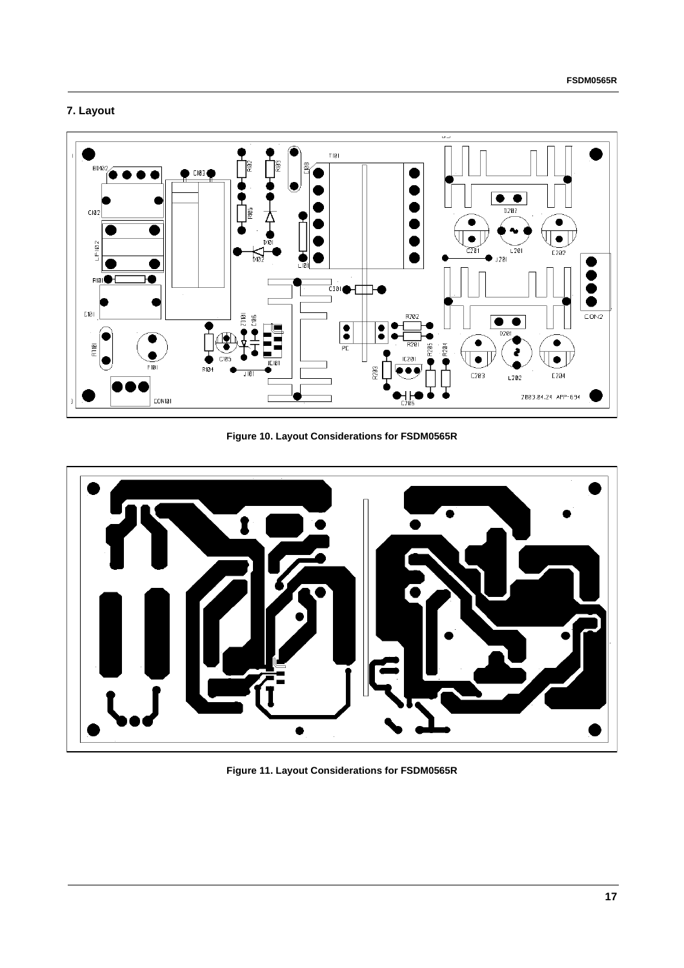#### **7. Layout**



**Figure 10. Layout Considerations for FSDM0565R** 



**Figure 11. Layout Considerations for FSDM0565R**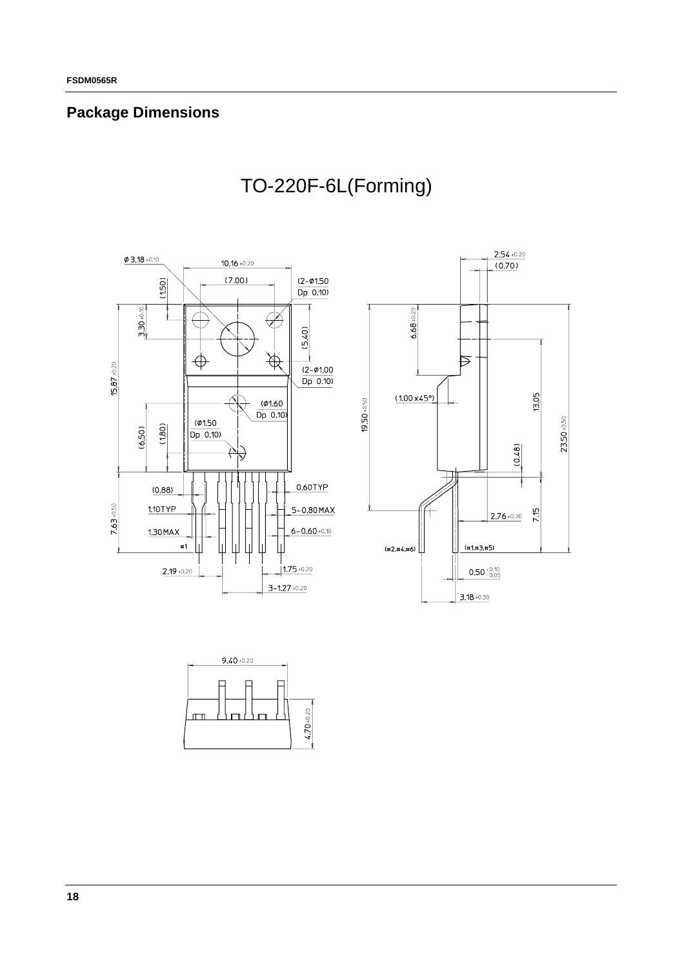## **Package Dimensions**







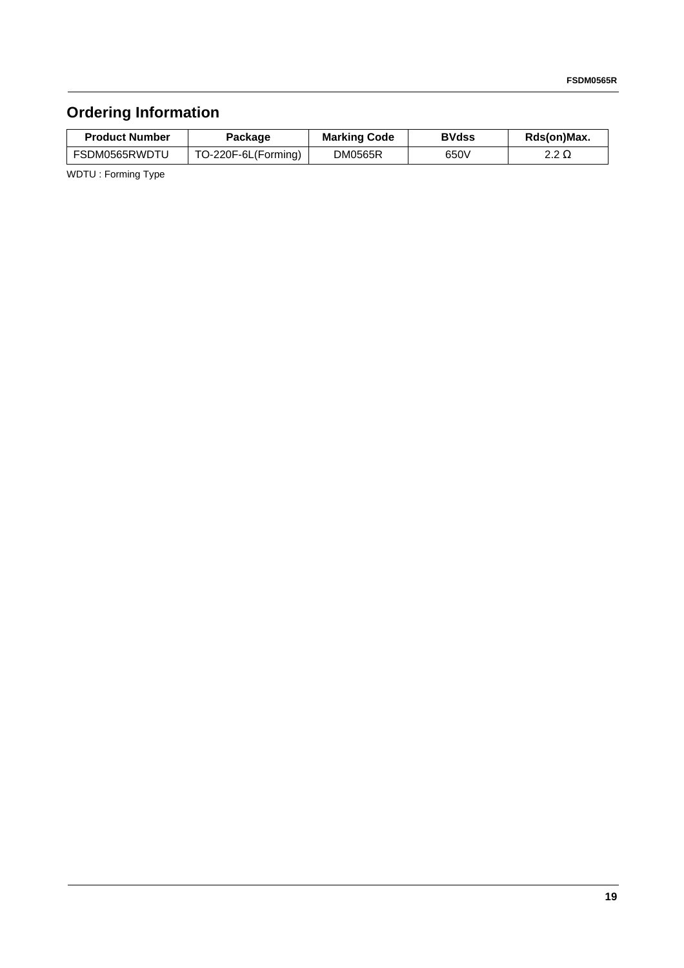# **Ordering Information**

| <b>Product Number</b> | Package             | <b>Marking Code</b> | <b>BVdss</b> | Rds(on)Max.  |
|-----------------------|---------------------|---------------------|--------------|--------------|
| FSDM0565RWDTU         | TO-220F-6L(Forming) | DM0565R             | 650V         | 2.2 $\Omega$ |

WDTU : Forming Type